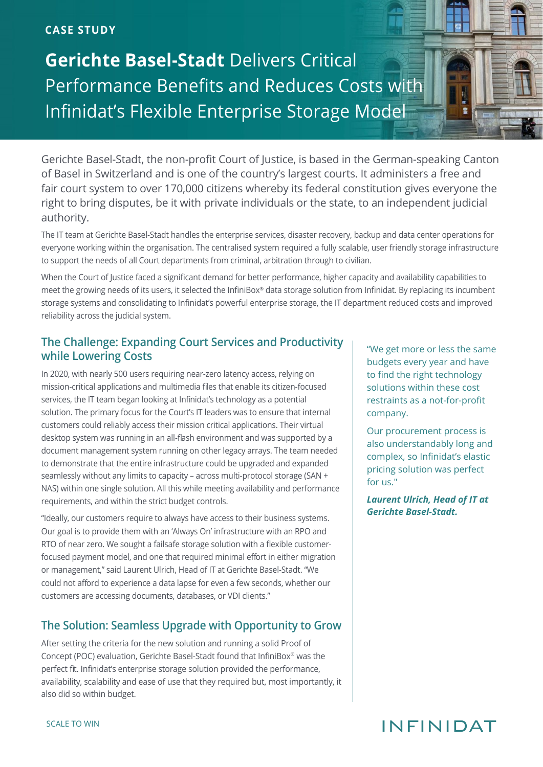#### **CASE STUDY**

**Gerichte Basel-Stadt** Delivers Critical Performance Benefits and Reduces Costs with Infinidat's Flexible Enterprise Storage Model

Gerichte Basel-Stadt, the non-profit Court of Justice, is based in the German-speaking Canton of Basel in Switzerland and is one of the country's largest courts. It administers a free and fair court system to over 170,000 citizens whereby its federal constitution gives everyone the right to bring disputes, be it with private individuals or the state, to an independent judicial authority.

The IT team at Gerichte Basel-Stadt handles the enterprise services, disaster recovery, backup and data center operations for everyone working within the organisation. The centralised system required a fully scalable, user friendly storage infrastructure to support the needs of all Court departments from criminal, arbitration through to civilian.

When the Court of Justice faced a significant demand for better performance, higher capacity and availability capabilities to meet the growing needs of its users, it selected the InfiniBox® data storage solution from Infinidat. By replacing its incumbent storage systems and consolidating to Infinidat's powerful enterprise storage, the IT department reduced costs and improved reliability across the judicial system.

### **The Challenge: Expanding Court Services and Productivity while Lowering Costs**

In 2020, with nearly 500 users requiring near-zero latency access, relying on mission-critical applications and multimedia files that enable its citizen-focused services, the IT team began looking at Infinidat's technology as a potential solution. The primary focus for the Court's IT leaders was to ensure that internal customers could reliably access their mission critical applications. Their virtual desktop system was running in an all-flash environment and was supported by a document management system running on other legacy arrays. The team needed to demonstrate that the entire infrastructure could be upgraded and expanded seamlessly without any limits to capacity – across multi-protocol storage (SAN + NAS) within one single solution. All this while meeting availability and performance requirements, and within the strict budget controls.

"Ideally, our customers require to always have access to their business systems. Our goal is to provide them with an 'Always On' infrastructure with an RPO and RTO of near zero. We sought a failsafe storage solution with a flexible customerfocused payment model, and one that required minimal effort in either migration or management," said Laurent Ulrich, Head of IT at Gerichte Basel-Stadt. "We could not afford to experience a data lapse for even a few seconds, whether our customers are accessing documents, databases, or VDI clients."

### **The Solution: Seamless Upgrade with Opportunity to Grow**

After setting the criteria for the new solution and running a solid Proof of Concept (POC) evaluation, Gerichte Basel-Stadt found that InfiniBox® was the perfect fit. Infinidat's enterprise storage solution provided the performance, availability, scalability and ease of use that they required but, most importantly, it also did so within budget.

"We get more or less the same budgets every year and have to find the right technology solutions within these cost restraints as a not-for-profit company.

Our procurement process is also understandably long and complex, so Infinidat's elastic pricing solution was perfect for us."

*Laurent Ulrich, Head of IT at Gerichte Basel-Stadt.*